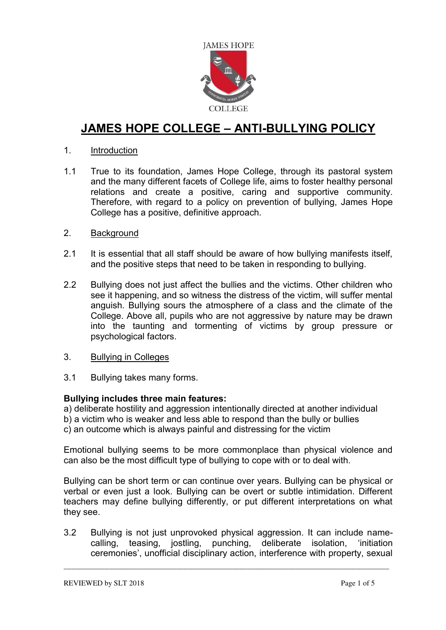

# **JAMES HOPE COLLEGE – ANTI-BULLYING POLICY**

## 1. Introduction

1.1 True to its foundation, James Hope College, through its pastoral system and the many different facets of College life, aims to foster healthy personal relations and create a positive, caring and supportive community. Therefore, with regard to a policy on prevention of bullying, James Hope College has a positive, definitive approach.

#### 2. Background

- 2.1 It is essential that all staff should be aware of how bullying manifests itself, and the positive steps that need to be taken in responding to bullying.
- 2.2 Bullying does not just affect the bullies and the victims. Other children who see it happening, and so witness the distress of the victim, will suffer mental anguish. Bullying sours the atmosphere of a class and the climate of the College. Above all, pupils who are not aggressive by nature may be drawn into the taunting and tormenting of victims by group pressure or psychological factors.
- 3. Bullying in Colleges
- 3.1 Bullying takes many forms.

## **Bullying includes three main features:**

a) deliberate hostility and aggression intentionally directed at another individual b) a victim who is weaker and less able to respond than the bully or bullies c) an outcome which is always painful and distressing for the victim

Emotional bullying seems to be more commonplace than physical violence and can also be the most difficult type of bullying to cope with or to deal with.

Bullying can be short term or can continue over years. Bullying can be physical or verbal or even just a look. Bullying can be overt or subtle intimidation. Different teachers may define bullying differently, or put different interpretations on what they see.

3.2 Bullying is not just unprovoked physical aggression. It can include namecalling, teasing, jostling, punching, deliberate isolation, 'initiation ceremonies', unofficial disciplinary action, interference with property, sexual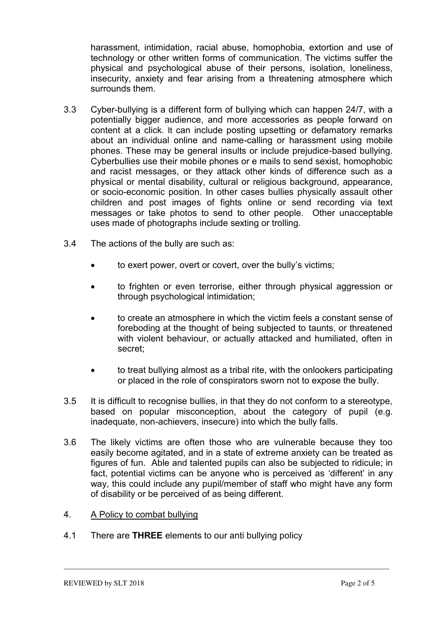harassment, intimidation, racial abuse, homophobia, extortion and use of technology or other written forms of communication. The victims suffer the physical and psychological abuse of their persons, isolation, loneliness, insecurity, anxiety and fear arising from a threatening atmosphere which surrounds them.

- 3.3 Cyber-bullying is a different form of bullying which can happen 24/7, with a potentially bigger audience, and more accessories as people forward on content at a click. It can include posting upsetting or defamatory remarks about an individual online and name-calling or harassment using mobile phones. These may be general insults or include prejudice-based bullying. Cyberbullies use their mobile phones or e mails to send sexist, homophobic and racist messages, or they attack other kinds of difference such as a physical or mental disability, cultural or religious background, appearance, or socio-economic position. In other cases bullies physically assault other children and post images of fights online or send recording via text messages or take photos to send to other people. Other unacceptable uses made of photographs include sexting or trolling.
- 3.4 The actions of the bully are such as:
	- to exert power, overt or covert, over the bully's victims;
	- to frighten or even terrorise, either through physical aggression or through psychological intimidation;
	- to create an atmosphere in which the victim feels a constant sense of foreboding at the thought of being subjected to taunts, or threatened with violent behaviour, or actually attacked and humiliated, often in secret;
	- to treat bullying almost as a tribal rite, with the onlookers participating or placed in the role of conspirators sworn not to expose the bully.
- 3.5 It is difficult to recognise bullies, in that they do not conform to a stereotype, based on popular misconception, about the category of pupil (e.g. inadequate, non-achievers, insecure) into which the bully falls.
- 3.6 The likely victims are often those who are vulnerable because they too easily become agitated, and in a state of extreme anxiety can be treated as figures of fun. Able and talented pupils can also be subjected to ridicule; in fact, potential victims can be anyone who is perceived as 'different' in any way, this could include any pupil/member of staff who might have any form of disability or be perceived of as being different.

- 4. A Policy to combat bullying
- 4.1 There are **THREE** elements to our anti bullying policy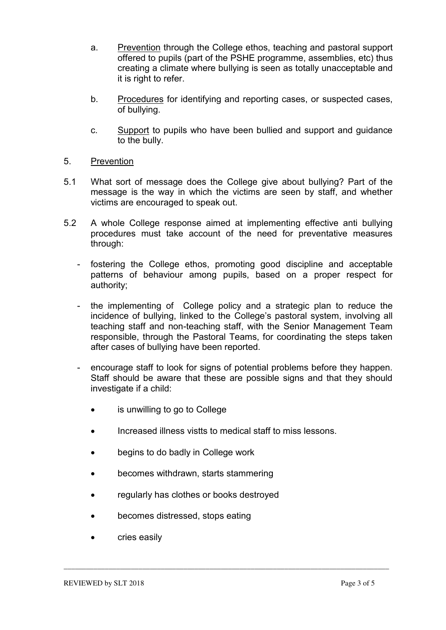- a. Prevention through the College ethos, teaching and pastoral support offered to pupils (part of the PSHE programme, assemblies, etc) thus creating a climate where bullying is seen as totally unacceptable and it is right to refer.
- b. Procedures for identifying and reporting cases, or suspected cases, of bullying.
- c. Support to pupils who have been bullied and support and guidance to the bully.
- 5. Prevention
- 5.1 What sort of message does the College give about bullying? Part of the message is the way in which the victims are seen by staff, and whether victims are encouraged to speak out.
- 5.2 A whole College response aimed at implementing effective anti bullying procedures must take account of the need for preventative measures through:
	- fostering the College ethos, promoting good discipline and acceptable patterns of behaviour among pupils, based on a proper respect for authority;
	- the implementing of College policy and a strategic plan to reduce the incidence of bullying, linked to the College's pastoral system, involving all teaching staff and non-teaching staff, with the Senior Management Team responsible, through the Pastoral Teams, for coordinating the steps taken after cases of bullying have been reported.
	- encourage staff to look for signs of potential problems before they happen. Staff should be aware that these are possible signs and that they should investigate if a child:
		- is unwilling to go to College
		- Increased illness vistts to medical staff to miss lessons.

- begins to do badly in College work
- becomes withdrawn, starts stammering
- regularly has clothes or books destroyed
- becomes distressed, stops eating
- cries easily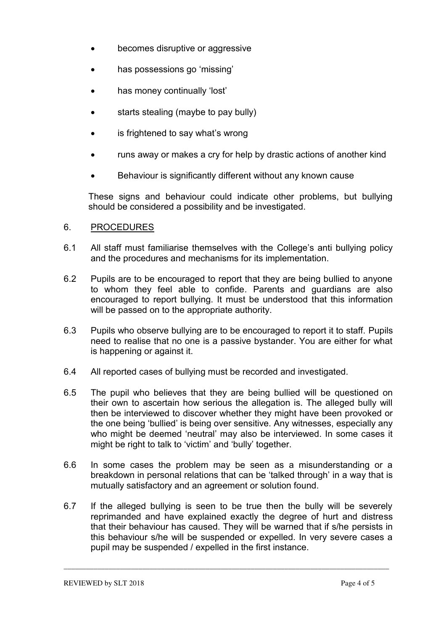- becomes disruptive or aggressive
- has possessions go 'missing'
- has money continually 'lost'
- starts stealing (maybe to pay bully)
- is frightened to say what's wrong
- runs away or makes a cry for help by drastic actions of another kind
- Behaviour is significantly different without any known cause

These signs and behaviour could indicate other problems, but bullying should be considered a possibility and be investigated.

#### 6. PROCEDURES

- 6.1 All staff must familiarise themselves with the College's anti bullying policy and the procedures and mechanisms for its implementation.
- 6.2 Pupils are to be encouraged to report that they are being bullied to anyone to whom they feel able to confide. Parents and guardians are also encouraged to report bullying. It must be understood that this information will be passed on to the appropriate authority.
- 6.3 Pupils who observe bullying are to be encouraged to report it to staff. Pupils need to realise that no one is a passive bystander. You are either for what is happening or against it.
- 6.4 All reported cases of bullying must be recorded and investigated.
- 6.5 The pupil who believes that they are being bullied will be questioned on their own to ascertain how serious the allegation is. The alleged bully will then be interviewed to discover whether they might have been provoked or the one being 'bullied' is being over sensitive. Any witnesses, especially any who might be deemed 'neutral' may also be interviewed. In some cases it might be right to talk to 'victim' and 'bully' together.
- 6.6 In some cases the problem may be seen as a misunderstanding or a breakdown in personal relations that can be 'talked through' in a way that is mutually satisfactory and an agreement or solution found.
- 6.7 If the alleged bullying is seen to be true then the bully will be severely reprimanded and have explained exactly the degree of hurt and distress that their behaviour has caused. They will be warned that if s/he persists in this behaviour s/he will be suspended or expelled. In very severe cases a pupil may be suspended / expelled in the first instance.